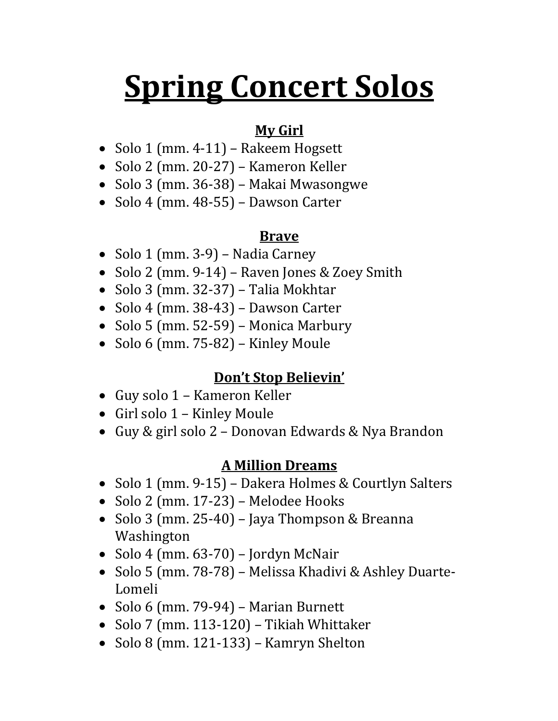# **Spring Concert Solos**

### **My Girl**

- Solo 1 (mm. 4-11) Rakeem Hogsett
- Solo 2 (mm. 20-27) Kameron Keller
- Solo 3 (mm. 36-38) Makai Mwasongwe
- Solo 4 (mm. 48-55) Dawson Carter

### **Brave**

- Solo 1 (mm. 3-9) Nadia Carney
- Solo 2 (mm. 9-14) Raven Jones & Zoey Smith
- Solo 3 (mm. 32-37) Talia Mokhtar
- Solo 4 (mm. 38-43) Dawson Carter
- Solo 5 (mm.  $52-59$ ) Monica Marbury
- Solo 6 (mm.  $75-82$ ) Kinley Moule

## **Don't Stop Believin'**

- Guy solo 1 Kameron Keller
- Girl solo 1 Kinley Moule
- Guy & girl solo 2 Donovan Edwards & Nya Brandon

#### **A Million Dreams**

- Solo 1 (mm. 9-15) Dakera Holmes & Courtlyn Salters
- Solo 2 (mm. 17-23) Melodee Hooks
- Solo 3 (mm. 25-40) Jaya Thompson & Breanna Washington
- Solo 4 (mm.  $63-70$ ) Jordyn McNair
- Solo 5 (mm. 78-78) Melissa Khadivi & Ashley Duarte-Lomeli
- Solo 6 (mm. 79-94) Marian Burnett
- Solo 7 (mm. 113-120) Tikiah Whittaker
- Solo 8 (mm. 121-133) Kamryn Shelton